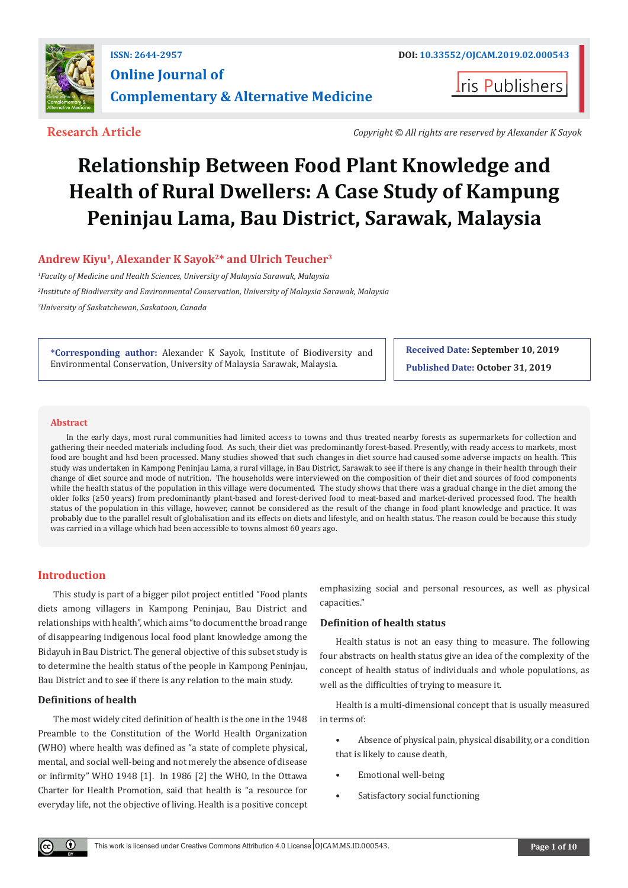

**Iris Publishers** 

**Research Article** *Copyright © All rights are reserved by Alexander K Sayok*

# **Relationship Between Food Plant Knowledge and Health of Rural Dwellers: A Case Study of Kampung Peninjau Lama, Bau District, Sarawak, Malaysia**

# Andrew Kiyu<sup>1</sup>, Alexander K Sayok<sup>2\*</sup> and Ulrich Teucher<sup>3</sup>

*1 Faculty of Medicine and Health Sciences, University of Malaysia Sarawak, Malaysia 2 Institute of Biodiversity and Environmental Conservation, University of Malaysia Sarawak, Malaysia 3 University of Saskatchewan, Saskatoon, Canada*

**\*Corresponding author:** Alexander K Sayok, Institute of Biodiversity and Environmental Conservation, University of Malaysia Sarawak, Malaysia.

**Received Date: September 10, 2019 Published Date: October 31, 2019**

#### **Abstract**

In the early days, most rural communities had limited access to towns and thus treated nearby forests as supermarkets for collection and gathering their needed materials including food. As such, their diet was predominantly forest-based. Presently, with ready access to markets, most food are bought and hsd been processed. Many studies showed that such changes in diet source had caused some adverse impacts on health. This study was undertaken in Kampong Peninjau Lama, a rural village, in Bau District, Sarawak to see if there is any change in their health through their change of diet source and mode of nutrition. The households were interviewed on the composition of their diet and sources of food components while the health status of the population in this village were documented. The study shows that there was a gradual change in the diet among the older folks (≥50 years) from predominantly plant-based and forest-derived food to meat-based and market-derived processed food. The health status of the population in this village, however, cannot be considered as the result of the change in food plant knowledge and practice. It was probably due to the parallel result of globalisation and its effects on diets and lifestyle, and on health status. The reason could be because this study was carried in a village which had been accessible to towns almost 60 years ago.

## **Introduction**

This study is part of a bigger pilot project entitled "Food plants diets among villagers in Kampong Peninjau, Bau District and relationships with health", which aims "to document the broad range of disappearing indigenous local food plant knowledge among the Bidayuh in Bau District. The general objective of this subset study is to determine the health status of the people in Kampong Peninjau, Bau District and to see if there is any relation to the main study.

#### **Definitions of health**

 $\bf{r}$ 

The most widely cited definition of health is the one in the 1948 Preamble to the Constitution of the World Health Organization (WHO) where health was defined as "a state of complete physical, mental, and social well-being and not merely the absence of disease or infirmity" WHO 1948 [1]. In 1986 [2] the WHO, in the Ottawa Charter for Health Promotion, said that health is "a resource for everyday life, not the objective of living. Health is a positive concept emphasizing social and personal resources, as well as physical capacities."

#### **Definition of health status**

Health status is not an easy thing to measure. The following four abstracts on health status give an idea of the complexity of the concept of health status of individuals and whole populations, as well as the difficulties of trying to measure it.

Health is a multi-dimensional concept that is usually measured in terms of:

- Absence of physical pain, physical disability, or a condition that is likely to cause death,
- Emotional well-being
- Satisfactory social functioning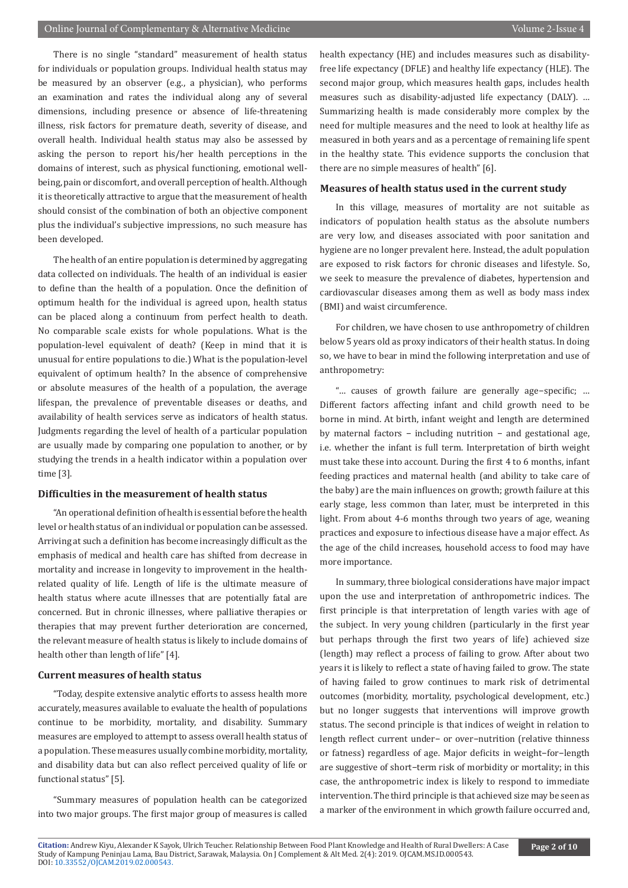There is no single "standard" measurement of health status for individuals or population groups. Individual health status may be measured by an observer (e.g., a physician), who performs an examination and rates the individual along any of several dimensions, including presence or absence of life-threatening illness, risk factors for premature death, severity of disease, and overall health. Individual health status may also be assessed by asking the person to report his/her health perceptions in the domains of interest, such as physical functioning, emotional wellbeing, pain or discomfort, and overall perception of health. Although it is theoretically attractive to argue that the measurement of health should consist of the combination of both an objective component plus the individual's subjective impressions, no such measure has been developed.

The health of an entire population is determined by aggregating data collected on individuals. The health of an individual is easier to define than the health of a population. Once the definition of optimum health for the individual is agreed upon, health status can be placed along a continuum from perfect health to death. No comparable scale exists for whole populations. What is the population-level equivalent of death? (Keep in mind that it is unusual for entire populations to die.) What is the population-level equivalent of optimum health? In the absence of comprehensive or absolute measures of the health of a population, the average lifespan, the prevalence of preventable diseases or deaths, and availability of health services serve as indicators of health status. Judgments regarding the level of health of a particular population are usually made by comparing one population to another, or by studying the trends in a health indicator within a population over time [3].

#### **Difficulties in the measurement of health status**

"An operational definition of health is essential before the health level or health status of an individual or population can be assessed. Arriving at such a definition has become increasingly difficult as the emphasis of medical and health care has shifted from decrease in mortality and increase in longevity to improvement in the healthrelated quality of life. Length of life is the ultimate measure of health status where acute illnesses that are potentially fatal are concerned. But in chronic illnesses, where palliative therapies or therapies that may prevent further deterioration are concerned, the relevant measure of health status is likely to include domains of health other than length of life" [4].

#### **Current measures of health status**

"Today, despite extensive analytic efforts to assess health more accurately, measures available to evaluate the health of populations continue to be morbidity, mortality, and disability. Summary measures are employed to attempt to assess overall health status of a population. These measures usually combine morbidity, mortality, and disability data but can also reflect perceived quality of life or functional status" [5].

"Summary measures of population health can be categorized into two major groups. The first major group of measures is called health expectancy (HE) and includes measures such as disabilityfree life expectancy (DFLE) and healthy life expectancy (HLE). The second major group, which measures health gaps, includes health measures such as disability-adjusted life expectancy (DALY). … Summarizing health is made considerably more complex by the need for multiple measures and the need to look at healthy life as measured in both years and as a percentage of remaining life spent in the healthy state. This evidence supports the conclusion that there are no simple measures of health" [6].

#### **Measures of health status used in the current study**

In this village, measures of mortality are not suitable as indicators of population health status as the absolute numbers are very low, and diseases associated with poor sanitation and hygiene are no longer prevalent here. Instead, the adult population are exposed to risk factors for chronic diseases and lifestyle. So, we seek to measure the prevalence of diabetes, hypertension and cardiovascular diseases among them as well as body mass index (BMI) and waist circumference.

For children, we have chosen to use anthropometry of children below 5 years old as proxy indicators of their health status. In doing so, we have to bear in mind the following interpretation and use of anthropometry:

"… causes of growth failure are generally age−specific; … Different factors affecting infant and child growth need to be borne in mind. At birth, infant weight and length are determined by maternal factors − including nutrition − and gestational age, i.e. whether the infant is full term. Interpretation of birth weight must take these into account. During the first 4 to 6 months, infant feeding practices and maternal health (and ability to take care of the baby) are the main influences on growth; growth failure at this early stage, less common than later, must be interpreted in this light. From about 4-6 months through two years of age, weaning practices and exposure to infectious disease have a major effect. As the age of the child increases, household access to food may have more importance.

In summary, three biological considerations have major impact upon the use and interpretation of anthropometric indices. The first principle is that interpretation of length varies with age of the subject. In very young children (particularly in the first year but perhaps through the first two years of life) achieved size (length) may reflect a process of failing to grow. After about two years it is likely to reflect a state of having failed to grow. The state of having failed to grow continues to mark risk of detrimental outcomes (morbidity, mortality, psychological development, etc.) but no longer suggests that interventions will improve growth status. The second principle is that indices of weight in relation to length reflect current under− or over−nutrition (relative thinness or fatness) regardless of age. Major deficits in weight−for−length are suggestive of short−term risk of morbidity or mortality; in this case, the anthropometric index is likely to respond to immediate intervention. The third principle is that achieved size may be seen as a marker of the environment in which growth failure occurred and,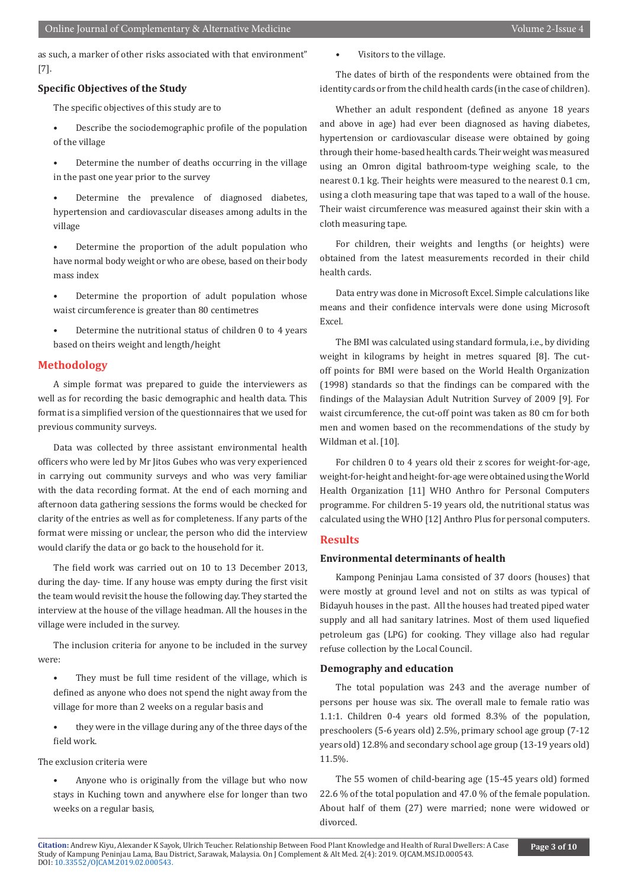as such, a marker of other risks associated with that environment" [7].

#### **Specific Objectives of the Study**

The specific objectives of this study are to

- Describe the sociodemographic profile of the population of the village
- Determine the number of deaths occurring in the village in the past one year prior to the survey
- Determine the prevalence of diagnosed diabetes, hypertension and cardiovascular diseases among adults in the village
- Determine the proportion of the adult population who have normal body weight or who are obese, based on their body mass index
- Determine the proportion of adult population whose waist circumference is greater than 80 centimetres
- Determine the nutritional status of children 0 to 4 years based on theirs weight and length/height

#### **Methodology**

A simple format was prepared to guide the interviewers as well as for recording the basic demographic and health data. This format is a simplified version of the questionnaires that we used for previous community surveys.

Data was collected by three assistant environmental health officers who were led by Mr Jitos Gubes who was very experienced in carrying out community surveys and who was very familiar with the data recording format. At the end of each morning and afternoon data gathering sessions the forms would be checked for clarity of the entries as well as for completeness. If any parts of the format were missing or unclear, the person who did the interview would clarify the data or go back to the household for it.

The field work was carried out on 10 to 13 December 2013, during the day- time. If any house was empty during the first visit the team would revisit the house the following day. They started the interview at the house of the village headman. All the houses in the village were included in the survey.

The inclusion criteria for anyone to be included in the survey were:

- They must be full time resident of the village, which is defined as anyone who does not spend the night away from the village for more than 2 weeks on a regular basis and
- they were in the village during any of the three days of the field work.

The exclusion criteria were

• Anyone who is originally from the village but who now stays in Kuching town and anywhere else for longer than two weeks on a regular basis,

• Visitors to the village.

The dates of birth of the respondents were obtained from the identity cards or from the child health cards (in the case of children).

Whether an adult respondent (defined as anyone 18 years and above in age) had ever been diagnosed as having diabetes, hypertension or cardiovascular disease were obtained by going through their home-based health cards. Their weight was measured using an Omron digital bathroom-type weighing scale, to the nearest 0.1 kg. Their heights were measured to the nearest 0.1 cm, using a cloth measuring tape that was taped to a wall of the house. Their waist circumference was measured against their skin with a cloth measuring tape.

For children, their weights and lengths (or heights) were obtained from the latest measurements recorded in their child health cards.

Data entry was done in Microsoft Excel. Simple calculations like means and their confidence intervals were done using Microsoft Excel.

The BMI was calculated using standard formula, i.e., by dividing weight in kilograms by height in metres squared [8]. The cutoff points for BMI were based on the World Health Organization (1998) standards so that the findings can be compared with the findings of the Malaysian Adult Nutrition Survey of 2009 [9]. For waist circumference, the cut-off point was taken as 80 cm for both men and women based on the recommendations of the study by Wildman et al. [10].

For children 0 to 4 years old their z scores for weight-for-age, weight-for-height and height-for-age were obtained using the World Health Organization [11] WHO Anthro for Personal Computers programme. For children 5-19 years old, the nutritional status was calculated using the WHO [12] Anthro Plus for personal computers.

### **Results**

#### **Environmental determinants of health**

Kampong Peninjau Lama consisted of 37 doors (houses) that were mostly at ground level and not on stilts as was typical of Bidayuh houses in the past. All the houses had treated piped water supply and all had sanitary latrines. Most of them used liquefied petroleum gas (LPG) for cooking. They village also had regular refuse collection by the Local Council.

#### **Demography and education**

The total population was 243 and the average number of persons per house was six. The overall male to female ratio was 1.1:1. Children 0-4 years old formed 8.3% of the population, preschoolers (5-6 years old) 2.5%, primary school age group (7-12 years old) 12.8% and secondary school age group (13-19 years old) 11.5%.

The 55 women of child-bearing age (15-45 years old) formed 22.6 % of the total population and 47.0 % of the female population. About half of them (27) were married; none were widowed or divorced.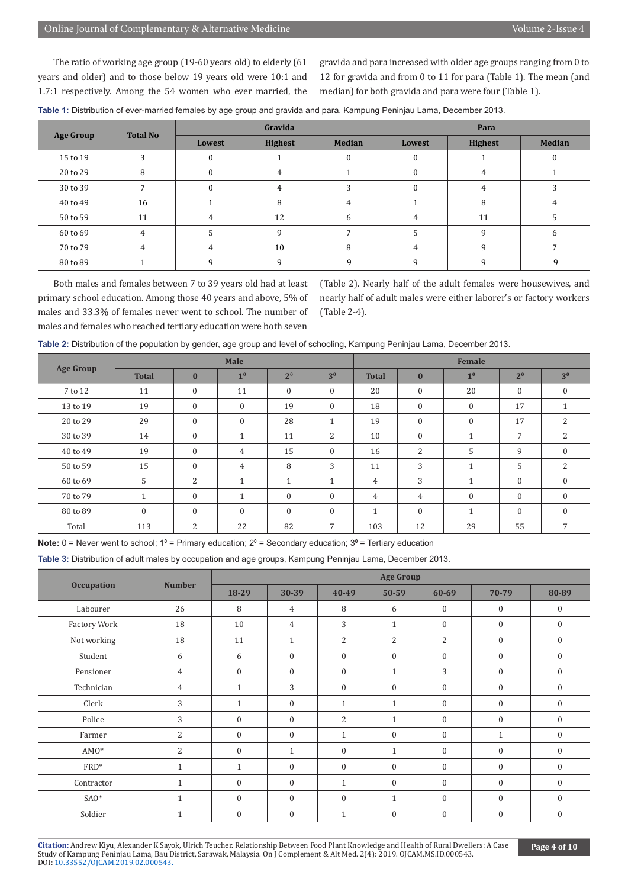The ratio of working age group (19-60 years old) to elderly (61 years and older) and to those below 19 years old were 10:1 and 1.7:1 respectively. Among the 54 women who ever married, the gravida and para increased with older age groups ranging from 0 to 12 for gravida and from 0 to 11 for para (Table 1). The mean (and median) for both gravida and para were four (Table 1).

| Table 1: Distribution of ever-married females by age group and gravida and para, Kampung Peninjau Lama, December 2013. |  |  |  |
|------------------------------------------------------------------------------------------------------------------------|--|--|--|
|------------------------------------------------------------------------------------------------------------------------|--|--|--|

| <b>Age Group</b> | <b>Total No</b> |          | Gravida        |               | Para   |                |               |  |
|------------------|-----------------|----------|----------------|---------------|--------|----------------|---------------|--|
|                  |                 | Lowest   | <b>Highest</b> | <b>Median</b> | Lowest | <b>Highest</b> | <b>Median</b> |  |
| 15 to 19         | 3               | $\theta$ |                | 0             |        |                | $\bf{0}$      |  |
| 20 to 29         | 8               | $\Omega$ | 4              |               |        | 4              |               |  |
| 30 to 39         |                 | 0        | 4              |               |        | 4              | 3             |  |
| 40 to 49         | 16              |          | 8              | 4             |        | 8              | 4             |  |
| 50 to 59         | 11              | 4        | 12             | 6             | 4      | 11             | 5             |  |
| 60 to 69         | 4               | 5        | 9              |               |        | 9              | 6             |  |
| 70 to 79         | 4               | 4        | 10             | 8             | 4      | q              |               |  |
| 80 to 89         |                 | a        | $\Omega$       | $\mathbf{Q}$  |        | q              | q             |  |

Both males and females between 7 to 39 years old had at least primary school education. Among those 40 years and above, 5% of males and 33.3% of females never went to school. The number of males and females who reached tertiary education were both seven

(Table 2). Nearly half of the adult females were housewives, and nearly half of adult males were either laborer's or factory workers (Table 2-4).

| Table 2: Distribution of the population by gender, age group and level of schooling, Kampung Peninjau Lama, December 2013. |  |  |  |
|----------------------------------------------------------------------------------------------------------------------------|--|--|--|
|----------------------------------------------------------------------------------------------------------------------------|--|--|--|

|                  |                  |                | <b>Male</b>                |                  |                 | Female         |                  |                |                |                |
|------------------|------------------|----------------|----------------------------|------------------|-----------------|----------------|------------------|----------------|----------------|----------------|
| <b>Age Group</b> | <b>Total</b>     | $\bf{0}$       | 1 <sup>0</sup>             | 2 <sup>0</sup>   | 3 <sup>0</sup>  | <b>Total</b>   | $\bf{0}$         | 1 <sup>0</sup> | 2 <sup>0</sup> | 3 <sup>0</sup> |
| 7 to 12          | 11               | $\mathbf{0}$   | 11                         | $\boldsymbol{0}$ | $\mathbf{0}$    | 20             | $\boldsymbol{0}$ | 20             | $\mathbf{0}$   | $\bf{0}$       |
| 13 to 19         | 19               | $\mathbf{0}$   | $\mathbf{0}$               | 19               | $\mathbf{0}$    | 18             | $\mathbf{0}$     | $\mathbf{0}$   | 17             | 1              |
| 20 to 29         | 29               | $\mathbf{0}$   | $\mathbf{0}$               | 28               | $\mathbf{1}$    | 19             | $\boldsymbol{0}$ | $\mathbf{0}$   | 17             | 2              |
| 30 to 39         | 14               | $\mathbf{0}$   | $\blacktriangleleft$<br>Ŧ. | 11               | 2               | 10             | $\mathbf{0}$     | $\mathbf{1}$   | 7              | 2              |
| 40 to 49         | 19               | $\mathbf{0}$   | 4                          | 15               | $\mathbf{0}$    | 16             | 2                | 5              | 9              | $\mathbf{0}$   |
| 50 to 59         | 15               | $\mathbf{0}$   | $\overline{4}$             | 8                | 3               | 11             | 3                | $\mathbf{1}$   | 5              | 2              |
| 60 to 69         | 5                | $\overline{c}$ | $\mathbf{1}$               | $\mathbf{1}$     | $\mathbf{1}$    | $\overline{4}$ | 3                | $\mathbf{1}$   | $\mathbf{0}$   | $\Omega$       |
| 70 to 79         | $\mathbf{1}$     | $\mathbf{0}$   | $\blacktriangleleft$       | $\mathbf{0}$     | $\mathbf{0}$    | 4              | $\overline{4}$   | $\mathbf{0}$   | $\mathbf{0}$   | $\mathbf{0}$   |
| 80 to 89         | $\boldsymbol{0}$ | $\mathbf{0}$   | $\mathbf{0}$               | $\mathbf{0}$     | $\mathbf{0}$    | $\mathbf{1}$   | $\mathbf{0}$     | $\mathbf{1}$   | $\mathbf{0}$   | $\mathbf{0}$   |
| Total            | 113              | $\overline{2}$ | 22                         | 82               | $7\overline{ }$ | 103            | 12               | 29             | 55             | 7              |

**Note:** 0 = Never went to school; 1<sup>0</sup> = Primary education; 2<sup>0</sup> = Secondary education; 3<sup>0</sup> = Tertiary education

**Table 3:** Distribution of adult males by occupation and age groups, Kampung Peninjau Lama, December 2013.

|                   |                |              | <b>Age Group</b> |                |                |                |              |              |  |  |
|-------------------|----------------|--------------|------------------|----------------|----------------|----------------|--------------|--------------|--|--|
| <b>Occupation</b> | <b>Number</b>  | 18-29        | 30-39            | 40-49          | $50 - 59$      | $60 - 69$      | 70-79        | 80-89        |  |  |
| Labourer          | 26             | 8            | 4                | 8              | 6              | $\mathbf{0}$   | $\mathbf{0}$ | $\mathbf{0}$ |  |  |
| Factory Work      | 18             | 10           | $\overline{4}$   | 3              | $\mathbf{1}$   | $\mathbf{0}$   | $\mathbf{0}$ | $\mathbf{0}$ |  |  |
| Not working       | 18             | 11           | $\mathbf{1}$     | $\overline{2}$ | $\overline{2}$ | $\overline{2}$ | $\mathbf{0}$ | $\mathbf{0}$ |  |  |
| Student           | 6              | 6            | $\mathbf{0}$     | $\mathbf{0}$   | $\mathbf{0}$   | $\mathbf{0}$   | $\Omega$     | $\mathbf{0}$ |  |  |
| Pensioner         | $\overline{4}$ | $\mathbf{0}$ | $\mathbf{0}$     | $\mathbf{0}$   | $\mathbf{1}$   | 3              | $\mathbf{0}$ | $\Omega$     |  |  |
| Technician        | $\overline{4}$ | $\mathbf{1}$ | 3                | $\mathbf{0}$   | $\mathbf{0}$   | $\mathbf{0}$   | $\mathbf{0}$ | $\mathbf{0}$ |  |  |
| Clerk             | 3              | $\mathbf{1}$ | $\mathbf{0}$     | $\mathbf{1}$   | $\mathbf{1}$   | $\mathbf{0}$   | $\theta$     | $\mathbf{0}$ |  |  |
| Police            | 3              | $\mathbf{0}$ | $\mathbf{0}$     | $\overline{2}$ | $\mathbf{1}$   | $\mathbf{0}$   | $\mathbf{0}$ | $\Omega$     |  |  |
| Farmer            | $\overline{2}$ | $\mathbf{0}$ | $\mathbf{0}$     | $\mathbf{1}$   | $\mathbf{0}$   | $\mathbf{0}$   | $\mathbf{1}$ | $\mathbf{0}$ |  |  |
| $AMO*$            | 2              | $\Omega$     | $\mathbf{1}$     | $\mathbf{0}$   | $\mathbf{1}$   | $\mathbf{0}$   | $\theta$     | $\Omega$     |  |  |
| FRD*              | $\mathbf{1}$   | $\mathbf{1}$ | $\mathbf{0}$     | $\mathbf{0}$   | $\mathbf{0}$   | $\mathbf{0}$   | $\mathbf{0}$ | $\theta$     |  |  |
| Contractor        | $\mathbf{1}$   | $\mathbf{0}$ | $\mathbf{0}$     | $\mathbf{1}$   | $\mathbf{0}$   | $\mathbf{0}$   | $\mathbf{0}$ | $\mathbf{0}$ |  |  |
| $SAO*$            | $\mathbf{1}$   | $\Omega$     | $\mathbf{0}$     | $\theta$       | $\mathbf{1}$   | $\mathbf{0}$   | $\Omega$     | $\Omega$     |  |  |
| Soldier           | $\mathbf{1}$   | $\theta$     | $\mathbf{0}$     | $\mathbf{1}$   | $\mathbf{0}$   | $\mathbf{0}$   | $\theta$     | $\Omega$     |  |  |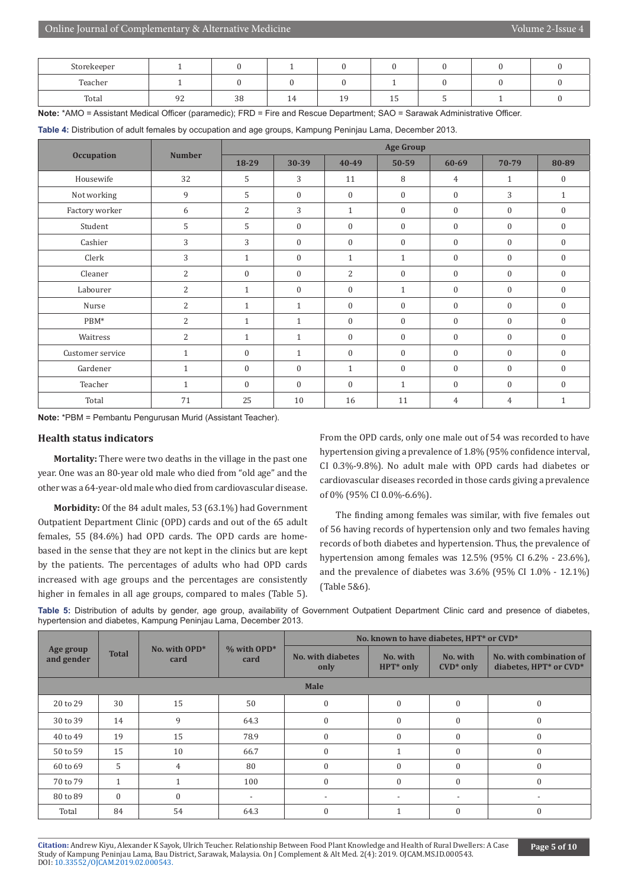| Storekeeper |    |    |          |     |    |  |  |
|-------------|----|----|----------|-----|----|--|--|
| Teacher     |    |    |          |     |    |  |  |
| Total       | n- | 38 | 4<br>. . | . . | ᆂᇦ |  |  |

**Note:** \*AMO = Assistant Medical Officer (paramedic); FRD = Fire and Rescue Department; SAO = Sarawak Administrative Officer.

**Table 4:** Distribution of adult females by occupation and age groups, Kampung Peninjau Lama, December 2013.

|                   | <b>Number</b> |                  | <b>Age Group</b> |                  |              |                |                  |                  |  |  |
|-------------------|---------------|------------------|------------------|------------------|--------------|----------------|------------------|------------------|--|--|
| <b>Occupation</b> |               | 18-29            | 30-39            | 40-49            | 50-59        | $60 - 69$      | 70-79            | 80-89            |  |  |
| Housewife         | 32            | 5                | 3                | 11               | 8            | $\overline{4}$ | $\mathbf{1}$     | $\mathbf{0}$     |  |  |
| Not working       | 9             | 5                | $\overline{0}$   | $\boldsymbol{0}$ | $\mathbf{0}$ | $\mathbf{0}$   | 3                | $\mathbf{1}$     |  |  |
| Factory worker    | 6             | $\overline{c}$   | 3                | $\mathbf{1}$     | $\mathbf{0}$ | $\mathbf{0}$   | $\mathbf{0}$     | $\mathbf{0}$     |  |  |
| Student           | 5             | 5                | $\mathbf{0}$     | $\boldsymbol{0}$ | $\mathbf{0}$ | $\mathbf{0}$   | $\boldsymbol{0}$ | $\mathbf{0}$     |  |  |
| Cashier           | 3             | 3                | $\mathbf{0}$     | $\boldsymbol{0}$ | $\mathbf{0}$ | $\overline{0}$ | $\mathbf{0}$     | $\mathbf{0}$     |  |  |
| Clerk             | 3             | $\mathbf{1}$     | $\mathbf{0}$     | $\mathbf{1}$     | $\mathbf{1}$ | $\mathbf{0}$   | $\mathbf{0}$     | $\mathbf{0}$     |  |  |
| Cleaner           | 2             | $\boldsymbol{0}$ | $\mathbf{0}$     | $\overline{2}$   | $\mathbf{0}$ | $\overline{0}$ | $\mathbf{0}$     | $\overline{0}$   |  |  |
| Labourer          | 2             | $\mathbf{1}$     | $\boldsymbol{0}$ | $\boldsymbol{0}$ | $\mathbf{1}$ | 0              | $\boldsymbol{0}$ | $\boldsymbol{0}$ |  |  |
| Nurse             | $\mathbf{2}$  | $\mathbf{1}$     | $\mathbf{1}$     | $\overline{0}$   | $\mathbf{0}$ | $\overline{0}$ | $\mathbf{0}$     | $\mathbf{0}$     |  |  |
| PBM*              | 2             | $\mathbf{1}$     | $\mathbf{1}$     | $\boldsymbol{0}$ | $\mathbf{0}$ | $\overline{0}$ | $\mathbf{0}$     | $\overline{0}$   |  |  |
| Waitress          | 2             | $\mathbf{1}$     | $\mathbf{1}$     | $\mathbf{0}$     | $\Omega$     | $\theta$       | $\mathbf{0}$     | $\Omega$         |  |  |
| Customer service  | $\mathbf{1}$  | $\boldsymbol{0}$ | $\mathbf{1}$     | $\boldsymbol{0}$ | $\mathbf{0}$ | $\mathbf{0}$   | $\mathbf{0}$     | $\mathbf{0}$     |  |  |
| Gardener          | $\mathbf{1}$  | $\boldsymbol{0}$ | $\mathbf{0}$     | $\mathbf{1}$     | $\mathbf{0}$ | $\overline{0}$ | $\mathbf{0}$     | $\mathbf{0}$     |  |  |
| Teacher           | $\mathbf{1}$  | $\mathbf{0}$     | $\theta$         | $\boldsymbol{0}$ | $\mathbf{1}$ | $\overline{0}$ | $\boldsymbol{0}$ | $\Omega$         |  |  |
| Total             | 71            | 25               | 10               | 16               | 11           | 4              | 4                | $\mathbf{1}$     |  |  |

**Note:** \*PBM = Pembantu Pengurusan Murid (Assistant Teacher).

#### **Health status indicators**

**Mortality:** There were two deaths in the village in the past one year. One was an 80-year old male who died from "old age" and the other was a 64-year-old male who died from cardiovascular disease.

**Morbidity:** Of the 84 adult males, 53 (63.1%) had Government Outpatient Department Clinic (OPD) cards and out of the 65 adult females, 55 (84.6%) had OPD cards. The OPD cards are homebased in the sense that they are not kept in the clinics but are kept by the patients. The percentages of adults who had OPD cards increased with age groups and the percentages are consistently higher in females in all age groups, compared to males (Table 5).

From the OPD cards, only one male out of 54 was recorded to have hypertension giving a prevalence of 1.8% (95% confidence interval, CI 0.3%-9.8%). No adult male with OPD cards had diabetes or cardiovascular diseases recorded in those cards giving a prevalence of 0% (95% CI 0.0%-6.6%).

The finding among females was similar, with five females out of 56 having records of hypertension only and two females having records of both diabetes and hypertension. Thus, the prevalence of hypertension among females was 12.5% (95% CI 6.2% - 23.6%), and the prevalence of diabetes was 3.6% (95% CI 1.0% - 12.1%) (Table 5&6).

**Table 5:** Distribution of adults by gender, age group, availability of Government Outpatient Department Clinic card and presence of diabetes, hypertension and diabetes, Kampung Peninjau Lama, December 2013.

|                         |              |                       |                          | No. known to have diabetes, HPT* or CVD* |                          |                          |                                                   |  |  |  |  |
|-------------------------|--------------|-----------------------|--------------------------|------------------------------------------|--------------------------|--------------------------|---------------------------------------------------|--|--|--|--|
| Age group<br>and gender | <b>Total</b> | No. with OPD*<br>card | $%$ with OPD*<br>card    | <b>No. with diabetes</b><br>only         | No. with<br>HPT* only    | No. with<br>$CVD^*$ only | No. with combination of<br>diabetes, HPT* or CVD* |  |  |  |  |
| <b>Male</b>             |              |                       |                          |                                          |                          |                          |                                                   |  |  |  |  |
| 20 to 29                | 30           | 15                    | 50                       | $\theta$                                 | $\Omega$                 | $\theta$                 | 0                                                 |  |  |  |  |
| 30 to 39                | 14           | 9                     | 64.3                     | $\theta$                                 | $\Omega$                 | $\theta$                 | $\theta$                                          |  |  |  |  |
| 40 to 49                | 19           | 15                    | 78.9                     | $\Omega$                                 | $\Omega$                 | $\Omega$                 | $\mathbf{0}$                                      |  |  |  |  |
| 50 to 59                | 15           | 10                    | 66.7                     | $\theta$                                 |                          | $\theta$                 | $\theta$                                          |  |  |  |  |
| 60 to 69                | 5            | 4                     | 80                       | $\Omega$                                 | $\Omega$                 | $\Omega$                 | $\theta$                                          |  |  |  |  |
| 70 to 79                | $\mathbf{1}$ |                       | 100                      | $\Omega$                                 | $\Omega$                 | $\theta$                 | $\theta$                                          |  |  |  |  |
| 80 to 89                | $\Omega$     | $\Omega$              | $\overline{\phantom{a}}$ | $\overline{\phantom{0}}$                 | $\overline{\phantom{0}}$ |                          |                                                   |  |  |  |  |
| Total                   | 84           | 54                    | 64.3                     |                                          |                          | $\Omega$                 | $\boldsymbol{0}$                                  |  |  |  |  |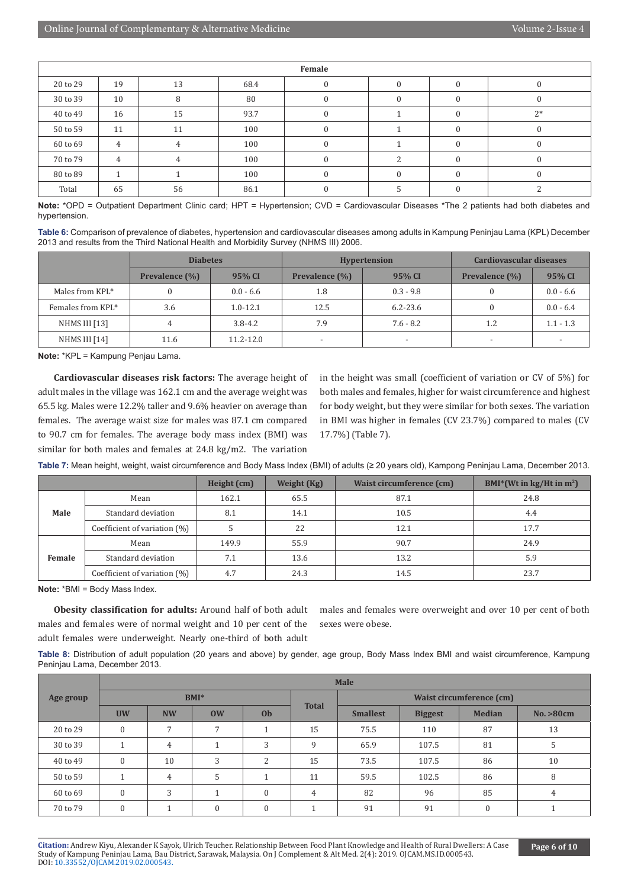|          | Female         |    |      |  |  |  |          |  |  |  |  |  |  |
|----------|----------------|----|------|--|--|--|----------|--|--|--|--|--|--|
| 20 to 29 | 19             | 13 | 68.4 |  |  |  |          |  |  |  |  |  |  |
| 30 to 39 | 10             | 8  | 80   |  |  |  |          |  |  |  |  |  |  |
| 40 to 49 | 16             | 15 | 93.7 |  |  |  | $2*$     |  |  |  |  |  |  |
| 50 to 59 | 11             | 11 | 100  |  |  |  |          |  |  |  |  |  |  |
| 60 to 69 | $\overline{4}$ |    | 100  |  |  |  | $\theta$ |  |  |  |  |  |  |
| 70 to 79 | $\overline{4}$ |    | 100  |  |  |  |          |  |  |  |  |  |  |
| 80 to 89 |                |    | 100  |  |  |  |          |  |  |  |  |  |  |
| Total    | 65             | 56 | 86.1 |  |  |  |          |  |  |  |  |  |  |

**Note:** \*OPD = Outpatient Department Clinic card; HPT = Hypertension; CVD = Cardiovascular Diseases \*The 2 patients had both diabetes and hypertension.

**Table 6:** Comparison of prevalence of diabetes, hypertension and cardiovascular diseases among adults in Kampung Peninjau Lama (KPL) December 2013 and results from the Third National Health and Morbidity Survey (NHMS III) 2006.

|                   | <b>Diabetes</b> |               |                          | <b>Hypertension</b>      | Cardiovascular diseases  |             |  |
|-------------------|-----------------|---------------|--------------------------|--------------------------|--------------------------|-------------|--|
|                   | Prevalence (%)  | 95% CI        | Prevalence (%)           |                          | Prevalence (%)           | 95% CI      |  |
| Males from KPL*   |                 | $0.0 - 6.6$   | 1.8                      | $0.3 - 9.8$              |                          | $0.0 - 6.6$ |  |
| Females from KPL* | 3.6             | $1.0 - 12.1$  | 12.5                     | $6.2 - 23.6$             |                          | $0.0 - 6.4$ |  |
| NHMS III [13]     | 4               | $3.8 - 4.2$   | 7.9                      | $7.6 - 8.2$              | 1.2                      | $1.1 - 1.3$ |  |
| NHMS III [14]     | 11.6            | $11.2 - 12.0$ | $\overline{\phantom{a}}$ | $\overline{\phantom{a}}$ | $\overline{\phantom{a}}$ |             |  |

**Note:** \*KPL = Kampung Penjau Lama.

**Cardiovascular diseases risk factors:** The average height of adult males in the village was 162.1 cm and the average weight was 65.5 kg. Males were 12.2% taller and 9.6% heavier on average than females. The average waist size for males was 87.1 cm compared to 90.7 cm for females. The average body mass index (BMI) was similar for both males and females at 24.8 kg/m2. The variation

in the height was small (coefficient of variation or CV of 5%) for both males and females, higher for waist circumference and highest for body weight, but they were similar for both sexes. The variation in BMI was higher in females (CV 23.7%) compared to males (CV 17.7%) (Table 7).

|        |                                 | Weight (Kg)<br>Height (cm) |      | Waist circumference (cm) | BMI*(Wt in $\text{kg}/\text{Ht}$ in $\text{m}^2$ ) |
|--------|---------------------------------|----------------------------|------|--------------------------|----------------------------------------------------|
|        | Mean                            | 162.1                      | 65.5 | 87.1                     | 24.8                                               |
| Male   | Standard deviation              | 8.1                        | 14.1 | 10.5                     | 4.4                                                |
|        | Coefficient of variation $(\%)$ |                            | 22   | 12.1                     | 17.7                                               |
|        | Mean                            | 149.9                      | 55.9 | 90.7                     | 24.9                                               |
| Female | Standard deviation              | 7.1                        | 13.6 | 13.2                     | 5.9                                                |
|        | Coefficient of variation (%)    | 4.7                        | 24.3 | 14.5                     | 23.7                                               |

**Table 7:** Mean height, weight, waist circumference and Body Mass Index (BMI) of adults (≥ 20 years old), Kampong Peninjau Lama, December 2013.

**Note:** \*BMI = Body Mass Index.

**Obesity classification for adults:** Around half of both adult males and females were of normal weight and 10 per cent of the adult females were underweight. Nearly one-third of both adult

males and females were overweight and over 10 per cent of both sexes were obese.

**Table 8:** Distribution of adult population (20 years and above) by gender, age group, Body Mass Index BMI and waist circumference, Kampung Peninjau Lama, December 2013.

|           | <b>Male</b>          |                |                  |                      |              |                 |                |                                 |            |  |  |  |
|-----------|----------------------|----------------|------------------|----------------------|--------------|-----------------|----------------|---------------------------------|------------|--|--|--|
| Age group |                      |                | $BMI*$           |                      |              |                 |                | <b>Waist circumference (cm)</b> |            |  |  |  |
|           | <b>UW</b>            | <b>NW</b>      | ow               | 0 <sub>b</sub>       | <b>Total</b> | <b>Smallest</b> | <b>Biggest</b> | <b>Median</b>                   | No. > 80cm |  |  |  |
| 20 to 29  | $\mathbf{0}$         | $\overline{ }$ | 7                | $\blacktriangleleft$ | 15           | 75.5            | 110            | 87                              | 13         |  |  |  |
| 30 to 39  | $\blacktriangleleft$ | 4              |                  | 3                    | 9            | 65.9            | 107.5          | 81                              | 5.         |  |  |  |
| 40 to 49  | $\Omega$             | 10             | 3                | $\mathcal{L}$        | 15           | 73.5            | 107.5          | 86                              | 10         |  |  |  |
| 50 to 59  |                      | 4              | 5                |                      | 11           | 59.5            | 102.5          | 86                              | 8          |  |  |  |
| 60 to 69  | $\mathbf{0}$         | 3              |                  | $\theta$             | 4            | 82              | 96             | 85                              | 4          |  |  |  |
| 70 to 79  | $\Omega$             |                | $\boldsymbol{0}$ | $\mathbf{0}$         |              | 91              | 91             | $\Omega$                        |            |  |  |  |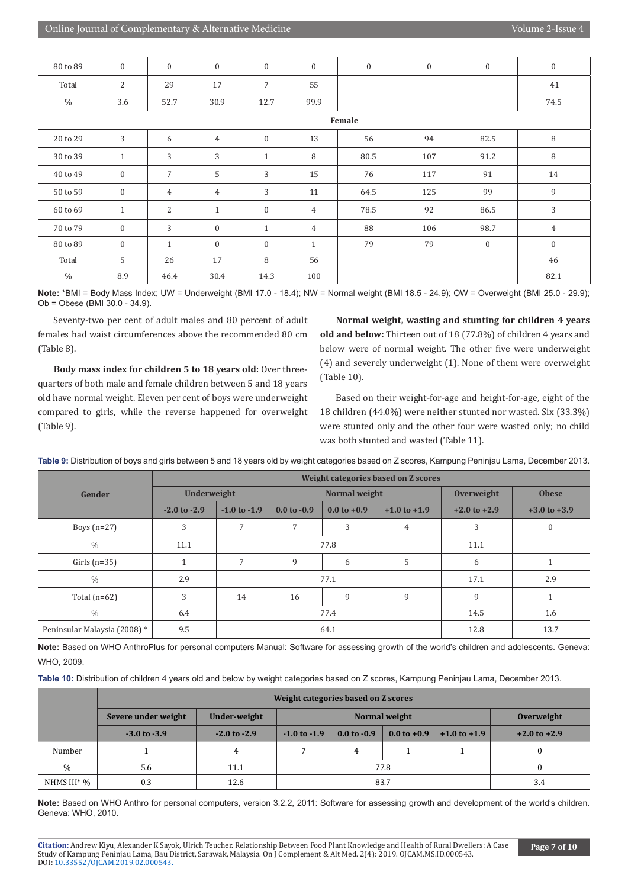| 80 to 89      | $\mathbf{0}$ | $\mathbf{0}$    | $\boldsymbol{0}$ | $\mathbf{0}$     | $\mathbf{0}$   | $\mathbf{0}$ | $\mathbf{0}$ | $\overline{0}$ | $\boldsymbol{0}$ |
|---------------|--------------|-----------------|------------------|------------------|----------------|--------------|--------------|----------------|------------------|
| Total         | 2            | 29              | 17               | $\overline{7}$   | 55             |              |              |                | 41               |
| $\%$          | 3.6          | 52.7            | 30.9             | 12.7             | 99.9           |              |              |                | 74.5             |
|               |              | Female          |                  |                  |                |              |              |                |                  |
| 20 to 29      | 3            | 6               | $\overline{4}$   | $\boldsymbol{0}$ | 13             | 56           | 94           | 82.5           | 8                |
| 30 to 39      | $\mathbf{1}$ | 3               | 3                | $\mathbf{1}$     | 8              | 80.5         | 107          | 91.2           | $\, 8$           |
| 40 to 49      | $\mathbf{0}$ | $7\overline{ }$ | 5                | 3                | 15             | 76           | 117          | 91             | 14               |
| 50 to 59      | $\mathbf{0}$ | $\overline{4}$  | $\overline{4}$   | 3                | 11             | 64.5         | 125          | 99             | 9                |
| 60 to 69      | $\mathbf{1}$ | $\overline{2}$  | $\mathbf{1}$     | $\mathbf{0}$     | $\overline{4}$ | 78.5         | 92           | 86.5           | $\mathfrak{Z}$   |
| 70 to 79      | $\mathbf{0}$ | 3               | $\mathbf{0}$     | $\mathbf{1}$     | $\overline{4}$ | 88           | 106          | 98.7           | $\overline{4}$   |
| 80 to 89      | $\mathbf{0}$ | $\mathbf{1}$    | $\mathbf{0}$     | $\mathbf{0}$     | $\mathbf{1}$   | 79           | 79           | $\overline{0}$ | $\mathbf{0}$     |
| Total         | 5            | 26              | 17               | 8                | 56             |              |              |                | 46               |
| $\frac{0}{0}$ | 8.9          | 46.4            | 30.4             | 14.3             | 100            |              |              |                | 82.1             |

**Note:** \*BMI = Body Mass Index; UW = Underweight (BMI 17.0 - 18.4); NW = Normal weight (BMI 18.5 - 24.9); OW = Overweight (BMI 25.0 - 29.9); Ob = Obese (BMI 30.0 - 34.9).

Seventy-two per cent of adult males and 80 percent of adult females had waist circumferences above the recommended 80 cm (Table 8).

**Body mass index for children 5 to 18 years old:** Over threequarters of both male and female children between 5 and 18 years old have normal weight. Eleven per cent of boys were underweight compared to girls, while the reverse happened for overweight (Table 9).

**Normal weight, wasting and stunting for children 4 years old and below:** Thirteen out of 18 (77.8%) of children 4 years and below were of normal weight. The other five were underweight (4) and severely underweight (1). None of them were overweight (Table 10).

Based on their weight-for-age and height-for-age, eight of the 18 children (44.0%) were neither stunted nor wasted. Six (33.3%) were stunted only and the other four were wasted only; no child was both stunted and wasted (Table 11).

|                              | Weight categories based on Z scores |                  |                        |               |                  |                  |                  |  |  |
|------------------------------|-------------------------------------|------------------|------------------------|---------------|------------------|------------------|------------------|--|--|
| Gender                       | Underweight                         |                  |                        | Normal weight |                  | Overweight       | <b>Obese</b>     |  |  |
|                              | $-2.0$ to $-2.9$                    | $-1.0$ to $-1.9$ | $0.0 \text{ to } -0.9$ | $0.0 to +0.9$ | $+1.0$ to $+1.9$ | $+2.0$ to $+2.9$ | $+3.0$ to $+3.9$ |  |  |
| Boys $(n=27)$                | 3                                   | 7                | 7                      | 3             | 4                | 3                | $\mathbf{0}$     |  |  |
| $\%$                         | 11.1                                |                  | 77.8                   | 11.1          |                  |                  |                  |  |  |
| Girls $(n=35)$               |                                     | 7                | 9                      | 6             | 5                | 6                |                  |  |  |
| $\%$                         | 2.9                                 |                  | 77.1                   | 17.1          | 2.9              |                  |                  |  |  |
| Total $(n=62)$               | 3                                   | 14               | 16                     | 9             | 9                | 9                |                  |  |  |
| $\frac{0}{0}$                | 6.4                                 |                  | 77.4                   | 14.5          | 1.6              |                  |                  |  |  |
| Peninsular Malaysia (2008) * | 9.5                                 |                  |                        | 64.1          | 12.8             | 13.7             |                  |  |  |

**Table 9:** Distribution of boys and girls between 5 and 18 years old by weight categories based on Z scores, Kampung Peninjau Lama, December 2013.

**Note:** Based on WHO AnthroPlus for personal computers Manual: Software for assessing growth of the world's children and adolescents. Geneva: WHO, 2009.

|  |  |  | Table 10: Distribution of children 4 years old and below by weight categories based on Z scores, Kampung Peninjau Lama, December 2013. |  |
|--|--|--|----------------------------------------------------------------------------------------------------------------------------------------|--|
|--|--|--|----------------------------------------------------------------------------------------------------------------------------------------|--|

|             | Weight categories based on Z scores |                  |                  |                        |                        |                  |                  |
|-------------|-------------------------------------|------------------|------------------|------------------------|------------------------|------------------|------------------|
|             | Severe under weight                 | Under-weight     | Normal weight    |                        |                        |                  | Overweight       |
|             | $-3.0$ to $-3.9$                    | $-2.0$ to $-2.9$ | $-1.0$ to $-1.9$ | $0.0 \text{ to } -0.9$ | $0.0 \text{ to } +0.9$ | $+1.0$ to $+1.9$ | $+2.0$ to $+2.9$ |
| Number      |                                     | 4                |                  | 4                      |                        |                  | 0                |
| $\%$        | 5.6<br>11.1                         |                  | 77.8             |                        |                        |                  | 0                |
| NHMS III* % | 0.3                                 | 83.7<br>12.6     |                  |                        |                        | 3.4              |                  |

**Note:** Based on WHO Anthro for personal computers, version 3.2.2, 2011: Software for assessing growth and development of the world's children. Geneva: WHO, 2010.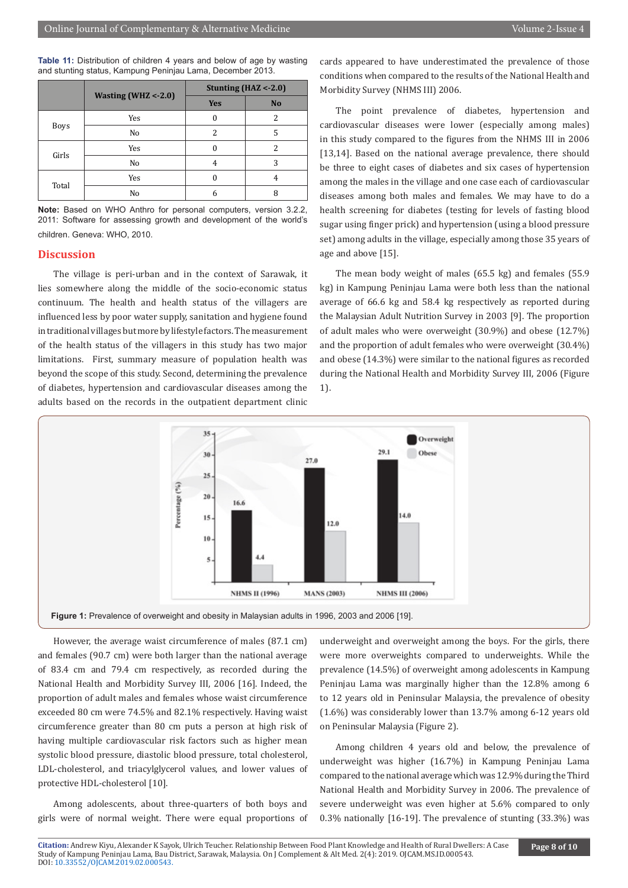**Table 11:** Distribution of children 4 years and below of age by wasting and stunting status, Kampung Peninjau Lama, December 2013.

|             |                        | Stunting $(HAZ < -2.0)$  |                |  |  |
|-------------|------------------------|--------------------------|----------------|--|--|
|             | Wasting (WHZ $<$ -2.0) | <b>Yes</b>               | N <sub>o</sub> |  |  |
|             | Yes                    | 0                        | 2              |  |  |
| <b>Boys</b> | No                     | $\overline{\mathcal{L}}$ | 5              |  |  |
| Girls       | Yes                    | 0                        | 2              |  |  |
|             | No                     | 4                        | 3              |  |  |
| Total       | Yes                    | U                        | 4              |  |  |
|             | No                     | h                        | 8              |  |  |

**Note:** Based on WHO Anthro for personal computers, version 3.2.2, 2011: Software for assessing growth and development of the world's children. Geneva: WHO, 2010.

#### **Discussion**

The village is peri-urban and in the context of Sarawak, it lies somewhere along the middle of the socio-economic status continuum. The health and health status of the villagers are influenced less by poor water supply, sanitation and hygiene found in traditional villages but more by lifestyle factors. The measurement of the health status of the villagers in this study has two major limitations. First, summary measure of population health was beyond the scope of this study. Second, determining the prevalence of diabetes, hypertension and cardiovascular diseases among the adults based on the records in the outpatient department clinic

cards appeared to have underestimated the prevalence of those conditions when compared to the results of the National Health and Morbidity Survey (NHMS III) 2006.

The point prevalence of diabetes, hypertension and cardiovascular diseases were lower (especially among males) in this study compared to the figures from the NHMS III in 2006 [13,14]. Based on the national average prevalence, there should be three to eight cases of diabetes and six cases of hypertension among the males in the village and one case each of cardiovascular diseases among both males and females. We may have to do a health screening for diabetes (testing for levels of fasting blood sugar using finger prick) and hypertension (using a blood pressure set) among adults in the village, especially among those 35 years of age and above [15].

The mean body weight of males (65.5 kg) and females (55.9 kg) in Kampung Peninjau Lama were both less than the national average of 66.6 kg and 58.4 kg respectively as reported during the Malaysian Adult Nutrition Survey in 2003 [9]. The proportion of adult males who were overweight (30.9%) and obese (12.7%) and the proportion of adult females who were overweight (30.4%) and obese (14.3%) were similar to the national figures as recorded during the National Health and Morbidity Survey III, 2006 (Figure 1).



However, the average waist circumference of males (87.1 cm) and females (90.7 cm) were both larger than the national average of 83.4 cm and 79.4 cm respectively, as recorded during the National Health and Morbidity Survey III, 2006 [16]. Indeed, the proportion of adult males and females whose waist circumference exceeded 80 cm were 74.5% and 82.1% respectively. Having waist circumference greater than 80 cm puts a person at high risk of having multiple cardiovascular risk factors such as higher mean systolic blood pressure, diastolic blood pressure, total cholesterol, LDL-cholesterol, and triacylglycerol values, and lower values of protective HDL-cholesterol [10].

Among adolescents, about three-quarters of both boys and girls were of normal weight. There were equal proportions of underweight and overweight among the boys. For the girls, there were more overweights compared to underweights. While the prevalence (14.5%) of overweight among adolescents in Kampung Peninjau Lama was marginally higher than the 12.8% among 6 to 12 years old in Peninsular Malaysia, the prevalence of obesity (1.6%) was considerably lower than 13.7% among 6-12 years old on Peninsular Malaysia (Figure 2).

Among children 4 years old and below, the prevalence of underweight was higher (16.7%) in Kampung Peninjau Lama compared to the national average which was 12.9% during the Third National Health and Morbidity Survey in 2006. The prevalence of severe underweight was even higher at 5.6% compared to only 0.3% nationally [16-19]. The prevalence of stunting (33.3%) was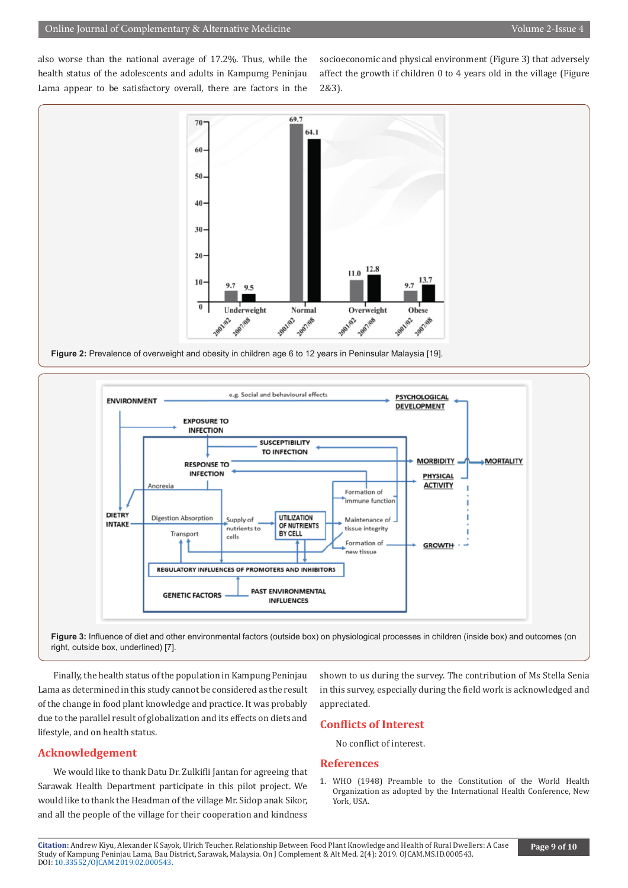also worse than the national average of 17.2%. Thus, while the health status of the adolescents and adults in Kampumg Peninjau Lama appear to be satisfactory overall, there are factors in the socioeconomic and physical environment (Figure 3) that adversely affect the growth if children 0 to 4 years old in the village (Figure 2&3).



**Figure 2:** Prevalence of overweight and obesity in children age 6 to 12 years in Peninsular Malaysia [19].

![](_page_8_Figure_6.jpeg)

**Figure 3:** Influence of diet and other environmental factors (outside box) on physiological processes in children (inside box) and outcomes (on right, outside box, underlined) [7].

Finally, the health status of the population in Kampung Peninjau Lama as determined in this study cannot be considered as the result of the change in food plant knowledge and practice. It was probably due to the parallel result of globalization and its effects on diets and lifestyle, and on health status.

#### **Acknowledgement**

We would like to thank Datu Dr. Zulkifli Jantan for agreeing that Sarawak Health Department participate in this pilot project. We would like to thank the Headman of the village Mr. Sidop anak Sikor, and all the people of the village for their cooperation and kindness shown to us during the survey. The contribution of Ms Stella Senia in this survey, especially during the field work is acknowledged and appreciated.

#### **Conflicts of Interest**

No conflict of interest.

#### **References**

1. WHO (1948) Preamble to the Constitution of the World Health Organization as adopted by the International Health Conference, New York, USA.